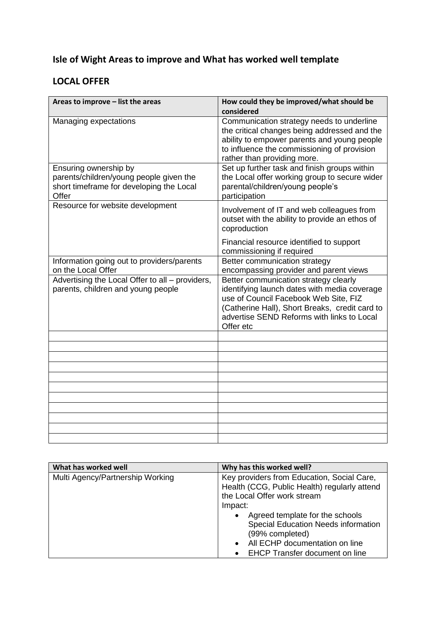## **Isle of Wight Areas to improve and What has worked well template**

## **LOCAL OFFER**

| Areas to improve - list the areas                                                                                     | How could they be improved/what should be                                                                                                                                                                                                   |
|-----------------------------------------------------------------------------------------------------------------------|---------------------------------------------------------------------------------------------------------------------------------------------------------------------------------------------------------------------------------------------|
|                                                                                                                       | considered                                                                                                                                                                                                                                  |
| Managing expectations                                                                                                 | Communication strategy needs to underline<br>the critical changes being addressed and the<br>ability to empower parents and young people<br>to influence the commissioning of provision<br>rather than providing more.                      |
| Ensuring ownership by<br>parents/children/young people given the<br>short timeframe for developing the Local<br>Offer | Set up further task and finish groups within<br>the Local offer working group to secure wider<br>parental/children/young people's<br>participation                                                                                          |
| Resource for website development                                                                                      | Involvement of IT and web colleagues from<br>outset with the ability to provide an ethos of<br>coproduction                                                                                                                                 |
|                                                                                                                       | Financial resource identified to support<br>commissioning if required                                                                                                                                                                       |
| Information going out to providers/parents<br>on the Local Offer                                                      | Better communication strategy<br>encompassing provider and parent views                                                                                                                                                                     |
| Advertising the Local Offer to all - providers,<br>parents, children and young people                                 | Better communication strategy clearly<br>identifying launch dates with media coverage<br>use of Council Facebook Web Site, FIZ<br>(Catherine Hall), Short Breaks, credit card to<br>advertise SEND Reforms with links to Local<br>Offer etc |
|                                                                                                                       |                                                                                                                                                                                                                                             |
|                                                                                                                       |                                                                                                                                                                                                                                             |
|                                                                                                                       |                                                                                                                                                                                                                                             |
|                                                                                                                       |                                                                                                                                                                                                                                             |
|                                                                                                                       |                                                                                                                                                                                                                                             |
|                                                                                                                       |                                                                                                                                                                                                                                             |
|                                                                                                                       |                                                                                                                                                                                                                                             |
|                                                                                                                       |                                                                                                                                                                                                                                             |
|                                                                                                                       |                                                                                                                                                                                                                                             |

| What has worked well             | Why has this worked well?                                                                                                                                                                                                                                                                                                                     |
|----------------------------------|-----------------------------------------------------------------------------------------------------------------------------------------------------------------------------------------------------------------------------------------------------------------------------------------------------------------------------------------------|
| Multi Agency/Partnership Working | Key providers from Education, Social Care,<br>Health (CCG, Public Health) regularly attend<br>the Local Offer work stream<br>Impact:<br>Agreed template for the schools<br>$\bullet$<br><b>Special Education Needs information</b><br>(99% completed)<br>All ECHP documentation on line<br>$\bullet$<br><b>EHCP Transfer document on line</b> |